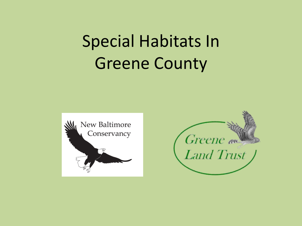# Special Habitats In Greene County



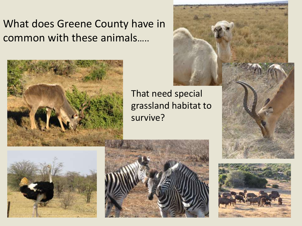#### What does Greene County have in common with these animals…..





That need special grassland habitat to survive?







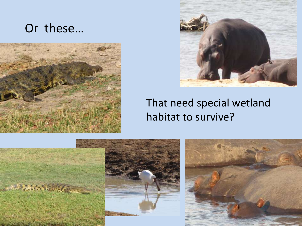#### Or these…





#### That need special wetland habitat to survive?

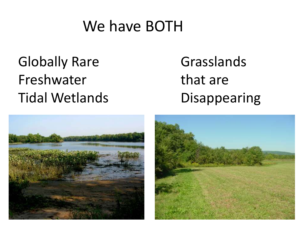#### We have BOTH

## Globally Rare Freshwater Tidal Wetlands

## Grasslands that are Disappearing



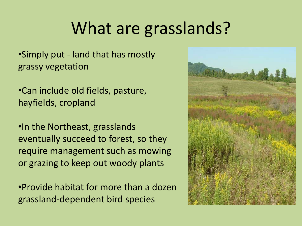## What are grasslands?

•Simply put - land that has mostly grassy vegetation

•Can include old fields, pasture, hayfields, cropland

•In the Northeast, grasslands eventually succeed to forest, so they require management such as mowing or grazing to keep out woody plants

•Provide habitat for more than a dozen grassland-dependent bird species

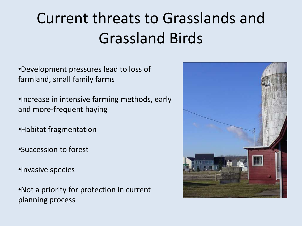# Current threats to Grasslands and Grassland Birds

•Development pressures lead to loss of farmland, small family farms

•Increase in intensive farming methods, early and more-frequent haying

•Habitat fragmentation

•Succession to forest

•Invasive species

•Not a priority for protection in current planning process

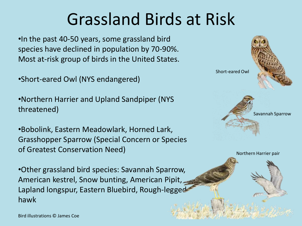# Grassland Birds at Risk

•In the past 40-50 years, some grassland bird species have declined in population by 70-90%. Most at-risk group of birds in the United States.

•Short-eared Owl (NYS endangered)

•Northern Harrier and Upland Sandpiper (NYS threatened)

•Bobolink, Eastern Meadowlark, Horned Lark, Grasshopper Sparrow (Special Concern or Species of Greatest Conservation Need)

•Other grassland bird species: Savannah Sparrow, American kestrel, Snow bunting, American Pipit, Lapland longspur, Eastern Bluebird, Rough-legged hawk



Northern Harrier pair

Bird illustrations © James Coe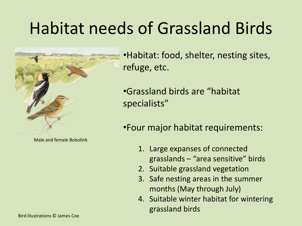# Habitat needs of Grassland Birds



Male and female Bobolink

•Habitat: food, shelter, nesting sites, refuge, etc.

•Grassland birds are "habitat specialists"

•Four major habitat requirements:

- 1. Large expanses of connected grasslands – "area sensitive" birds
- 2. Suitable grassland vegetation
- 3. Safe nesting areas in the summer months (May through July)
- 4. Suitable winter habitat for wintering grassland birds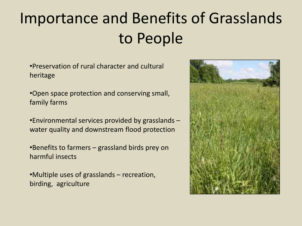# Importance and Benefits of Grasslands to People

•Preservation of rural character and cultural heritage

•Open space protection and conserving small, family farms

•Environmental services provided by grasslands – water quality and downstream flood protection

•Benefits to farmers – grassland birds prey on harmful insects

•Multiple uses of grasslands – recreation, birding, agriculture

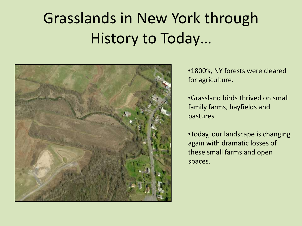## Grasslands in New York through History to Today…



•1800's, NY forests were cleared for agriculture.

•Grassland birds thrived on small family farms, hayfields and pastures

•Today, our landscape is changing again with dramatic losses of these small farms and open spaces.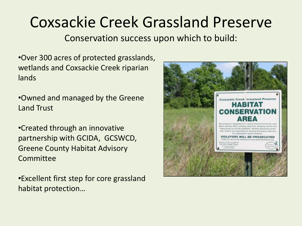## Coxsackie Creek Grassland Preserve

Conservation success upon which to build:

•Over 300 acres of protected grasslands, wetlands and Coxsackie Creek riparian lands

•Owned and managed by the Greene Land Trust

•Created through an innovative partnership with GCIDA, GCSWCD, Greene County Habitat Advisory Committee

•Excellent first step for core grassland habitat protection…

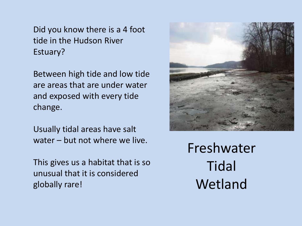Did you know there is a 4 foot tide in the Hudson River Estuary?

Between high tide and low tide are areas that are under water and exposed with every tide change.

Usually tidal areas have salt water – but not where we live.

This gives us a habitat that is so unusual that it is considered globally rare!



Freshwater **Tidal** Wetland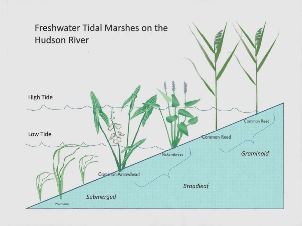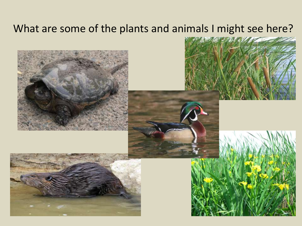#### What are some of the plants and animals I might see here?

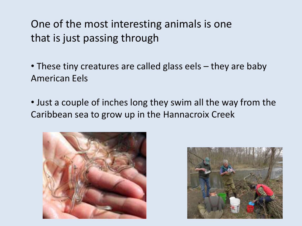One of the most interesting animals is one that is just passing through

• These tiny creatures are called glass eels – they are baby American Eels

• Just a couple of inches long they swim all the way from the Caribbean sea to grow up in the Hannacroix Creek



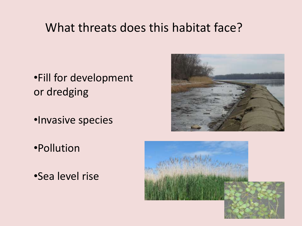#### What threats does this habitat face?

- •Fill for development or dredging
- •Invasive species
- •Pollution
- •Sea level rise



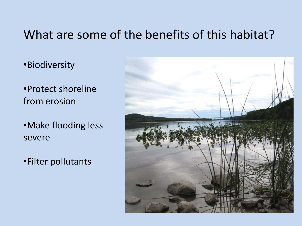#### What are some of the benefits of this habitat?

•Biodiversity

•Protect shoreline from erosion

•Make flooding less severe

•Filter pollutants

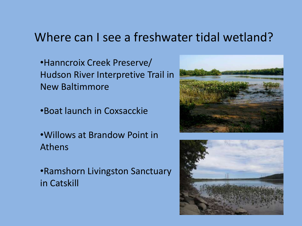#### Where can I see a freshwater tidal wetland?

- •Hanncroix Creek Preserve/ Hudson River Interpretive Trail in New Baltimmore
- •Boat launch in Coxsacckie
- •Willows at Brandow Point in Athens
- •Ramshorn Livingston Sanctuary in Catskill